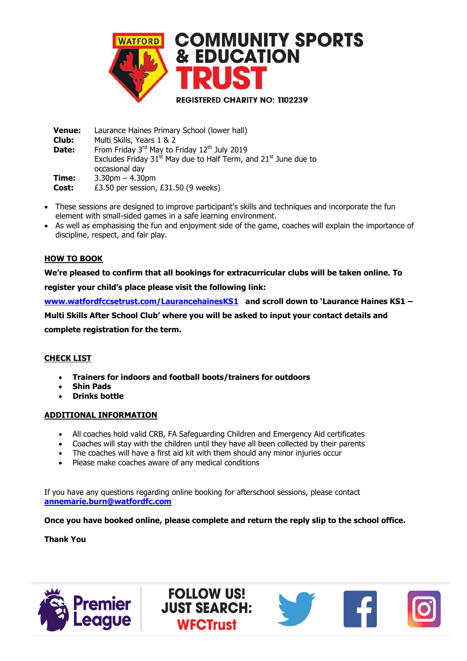

 **Venue:** Laurance Haines Primary School (lower hall)  **Club: Date:** Multi Skills, Years 1 & 2 From Friday 3rd May to Friday 12<sup>th</sup> July 2019 Excludes Friday  $31<sup>st</sup>$  May due to Half Term, and  $21<sup>st</sup>$  June due to occasional day  **Time:** 3.30pm – 4.30pm **Cost:** £3.50 per session, £31.50 (9 weeks)

- These sessions are designed to improve participant's skills and techniques and incorporate the fun element with small-sided games in a safe learning environment.
- As well as emphasising the fun and enjoyment side of the game, coaches will explain the importance of discipline, respect, and fair play.

## **HOW TO BOOK**

**We're pleased to confirm that all bookings for extracurricular clubs will be taken online. To register your child's place please visit the following link:** 

**[www.watfordfccsetrust.com/LaurancehainesKS1](http://www.watfordfccsetrust.com/LaurancehainesKS1) and scroll down to 'Laurance Haines KS1 –**

**Multi Skills After School Club' where you will be asked to input your contact details and** 

**complete registration for the term.**

## **CHECK LIST**

- **Trainers for indoors and football boots/trainers for outdoors**
- **Shin Pads**
- **Drinks bottle**

#### **ADDITIONAL INFORMATION**

- All coaches hold valid CRB, FA Safeguarding Children and Emergency Aid certificates
- Coaches will stay with the children until they have all been collected by their parents
- The coaches will have a first aid kit with them should any minor injuries occur
- Please make coaches aware of any medical conditions

If you have any questions regarding online booking for afterschool sessions, please contact **[annemarie.burn@watfordfc.com](mailto:annemarie.burn@watfordfc.com)**

> **FOLLOW US! JUST SEARCH:**

> > **WFCTrust**

## **Once you have booked online, please complete and return the reply slip to the school office.**

#### **Thank You**



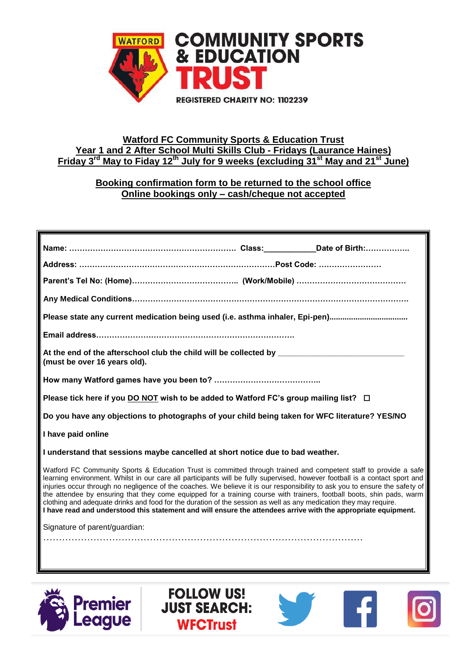

## **Watford FC Community Sports & Education Trust Year 1 and 2 After School Multi Skills Club - Fridays (Laurance Haines) Friday 3 rd May to Fiday 12th July for 9 weeks (excluding 31st May and 21st June)**

# **Booking confirmation form to be returned to the school office Online bookings only – cash/cheque not accepted**

| Please state any current medication being used (i.e. asthma inhaler, Epi-pen)                                                                                                                                                                                                                                                                                                                                                                                                                                                                                                                                                                                                                                                                  |
|------------------------------------------------------------------------------------------------------------------------------------------------------------------------------------------------------------------------------------------------------------------------------------------------------------------------------------------------------------------------------------------------------------------------------------------------------------------------------------------------------------------------------------------------------------------------------------------------------------------------------------------------------------------------------------------------------------------------------------------------|
|                                                                                                                                                                                                                                                                                                                                                                                                                                                                                                                                                                                                                                                                                                                                                |
| (must be over 16 years old).                                                                                                                                                                                                                                                                                                                                                                                                                                                                                                                                                                                                                                                                                                                   |
|                                                                                                                                                                                                                                                                                                                                                                                                                                                                                                                                                                                                                                                                                                                                                |
| Please tick here if you DO NOT wish to be added to Watford FC's group mailing list? □                                                                                                                                                                                                                                                                                                                                                                                                                                                                                                                                                                                                                                                          |
| Do you have any objections to photographs of your child being taken for WFC literature? YES/NO                                                                                                                                                                                                                                                                                                                                                                                                                                                                                                                                                                                                                                                 |
| I have paid online                                                                                                                                                                                                                                                                                                                                                                                                                                                                                                                                                                                                                                                                                                                             |
| I understand that sessions maybe cancelled at short notice due to bad weather.                                                                                                                                                                                                                                                                                                                                                                                                                                                                                                                                                                                                                                                                 |
| Watford FC Community Sports & Education Trust is committed through trained and competent staff to provide a safe<br>learning environment. Whilst in our care all participants will be fully supervised, however football is a contact sport and<br>injuries occur through no negligence of the coaches. We believe it is our responsibility to ask you to ensure the safety of<br>the attendee by ensuring that they come equipped for a training course with trainers, football boots, shin pads, warm<br>clothing and adequate drinks and food for the duration of the session as well as any medication they may require.<br>I have read and understood this statement and will ensure the attendees arrive with the appropriate equipment. |
| Signature of parent/guardian:                                                                                                                                                                                                                                                                                                                                                                                                                                                                                                                                                                                                                                                                                                                  |
|                                                                                                                                                                                                                                                                                                                                                                                                                                                                                                                                                                                                                                                                                                                                                |
|                                                                                                                                                                                                                                                                                                                                                                                                                                                                                                                                                                                                                                                                                                                                                |
|                                                                                                                                                                                                                                                                                                                                                                                                                                                                                                                                                                                                                                                                                                                                                |

**FOLLOW US!** 

**JUST SEARCH:** 

**WFCTrust**